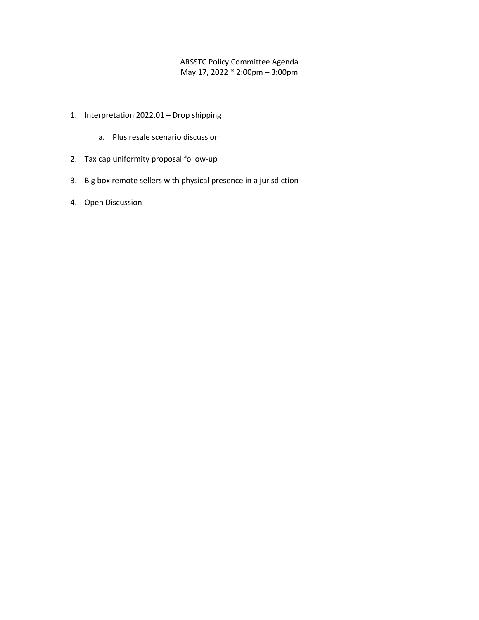## ARSSTC Policy Committee Agenda May 17, 2022 \* 2:00pm – 3:00pm

- 1. Interpretation 2022.01 Drop shipping
	- a. Plus resale scenario discussion
- 2. Tax cap uniformity proposal follow-up
- 3. Big box remote sellers with physical presence in a jurisdiction
- 4. Open Discussion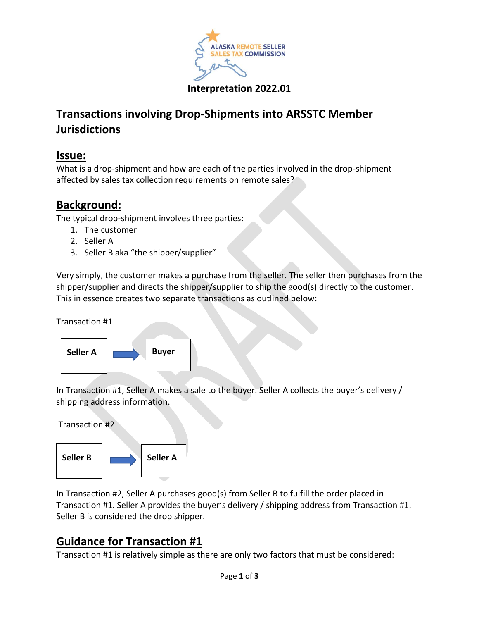

# **Transactions involving Drop-Shipments into ARSSTC Member Jurisdictions**

## **Issue:**

What is a drop-shipment and how are each of the parties involved in the drop-shipment affected by sales tax collection requirements on remote sales?

# **Background:**

The typical drop-shipment involves three parties:

- 1. The customer
- 2. Seller A
- 3. Seller B aka "the shipper/supplier"

Very simply, the customer makes a purchase from the seller. The seller then purchases from the shipper/supplier and directs the shipper/supplier to ship the good(s) directly to the customer. This in essence creates two separate transactions as outlined below:

Transaction #1



In Transaction #1, Seller A makes a sale to the buyer. Seller A collects the buyer's delivery / shipping address information.

Transaction #2



In Transaction #2, Seller A purchases good(s) from Seller B to fulfill the order placed in Transaction #1. Seller A provides the buyer's delivery / shipping address from Transaction #1. Seller B is considered the drop shipper.

# **Guidance for Transaction #1**

Transaction #1 is relatively simple as there are only two factors that must be considered: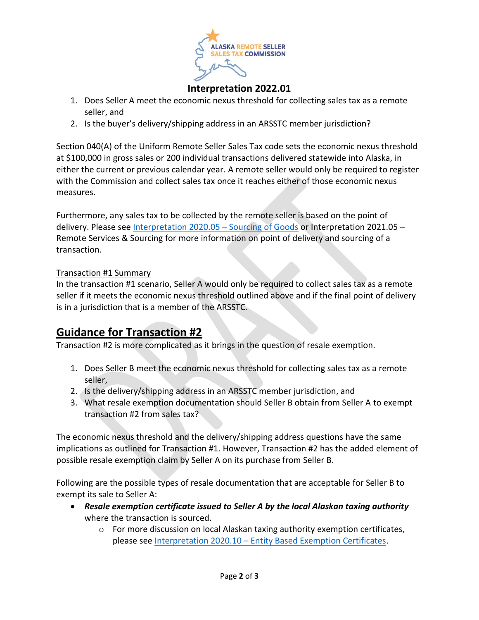

## **Interpretation 2022.01**

- 1. Does Seller A meet the economic nexus threshold for collecting sales tax as a remote seller, and
- 2. Is the buyer's delivery/shipping address in an ARSSTC member jurisdiction?

Section 040(A) of the Uniform Remote Seller Sales Tax code sets the economic nexus threshold at \$100,000 in gross sales or 200 individual transactions delivered statewide into Alaska, in either the current or previous calendar year. A remote seller would only be required to register with the Commission and collect sales tax once it reaches either of those economic nexus measures.

Furthermore, any sales tax to be collected by the remote seller is based on the point of delivery. Please see [Interpretation 2020.05](https://arsstc.org/wp-content/uploads/2021/06/2020.05-Sourcing-of-Goods_revised-June-2021.pdf) – Sourcing of Goods or Interpretation 2021.05 – Remote Services & Sourcing for more information on point of delivery and sourcing of a transaction.

## Transaction #1 Summary

In the transaction #1 scenario, Seller A would only be required to collect sales tax as a remote seller if it meets the economic nexus threshold outlined above and if the final point of delivery is in a jurisdiction that is a member of the ARSSTC.

# **Guidance for Transaction #2**

Transaction #2 is more complicated as it brings in the question of resale exemption.

- 1. Does Seller B meet the economic nexus threshold for collecting sales tax as a remote seller,
- 2. Is the delivery/shipping address in an ARSSTC member jurisdiction, and
- 3. What resale exemption documentation should Seller B obtain from Seller A to exempt transaction #2 from sales tax?

The economic nexus threshold and the delivery/shipping address questions have the same implications as outlined for Transaction #1. However, Transaction #2 has the added element of possible resale exemption claim by Seller A on its purchase from Seller B.

Following are the possible types of resale documentation that are acceptable for Seller B to exempt its sale to Seller A:

- *Resale exemption certificate issued to Seller A by the local Alaskan taxing authority* where the transaction is sourced.
	- o For more discussion on local Alaskan taxing authority exemption certificates, please see Interpretation 2020.10 – [Entity Based Exemption Certificates.](https://arsstc.org/wp-content/uploads/2021/10/2020.10-Entity-based-exemption-certificate_revised-August-2021.pdf)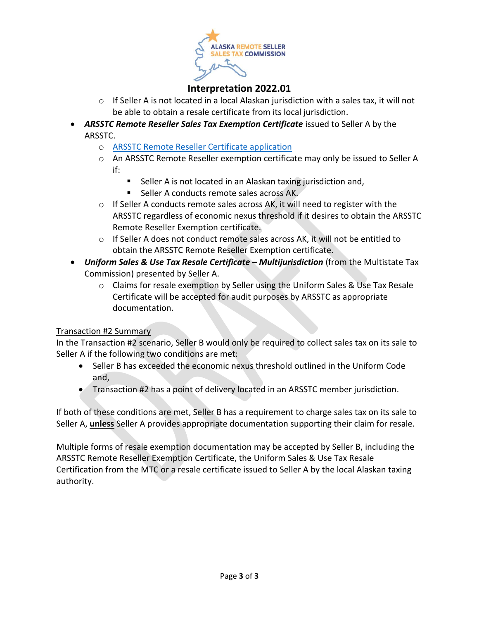

## **Interpretation 2022.01**

- $\circ$  If Seller A is not located in a local Alaskan jurisdiction with a sales tax, it will not be able to obtain a resale certificate from its local jurisdiction.
- *ARSSTC Remote Reseller Sales Tax Exemption Certificate* issued to Seller A by the ARSSTC.
	- o [ARSSTC Remote Reseller Certificate application](https://arsstc.org/wp-content/uploads/2021/05/ARSSTC-Seller-Remote-Resale-Certificate-Application-fillable.pdf)
	- o An ARSSTC Remote Reseller exemption certificate may only be issued to Seller A if:
		- Seller A is not located in an Alaskan taxing jurisdiction and,
		- Seller A conducts remote sales across AK.
	- $\circ$  If Seller A conducts remote sales across AK, it will need to register with the ARSSTC regardless of economic nexus threshold if it desires to obtain the ARSSTC Remote Reseller Exemption certificate.
	- $\circ$  If Seller A does not conduct remote sales across AK, it will not be entitled to obtain the ARSSTC Remote Reseller Exemption certificate.
- *Uniform Sales & Use Tax Resale Certificate – Multijurisdiction* (from the Multistate Tax Commission) presented by Seller A.
	- o Claims for resale exemption by Seller using the Uniform Sales & Use Tax Resale Certificate will be accepted for audit purposes by ARSSTC as appropriate documentation.

## Transaction #2 Summary

In the Transaction #2 scenario, Seller B would only be required to collect sales tax on its sale to Seller A if the following two conditions are met:

- Seller B has exceeded the economic nexus threshold outlined in the Uniform Code and,
- Transaction #2 has a point of delivery located in an ARSSTC member jurisdiction.

If both of these conditions are met, Seller B has a requirement to charge sales tax on its sale to Seller A, **unless** Seller A provides appropriate documentation supporting their claim for resale.

Multiple forms of resale exemption documentation may be accepted by Seller B, including the ARSSTC Remote Reseller Exemption Certificate, the Uniform Sales & Use Tax Resale Certification from the MTC or a resale certificate issued to Seller A by the local Alaskan taxing authority.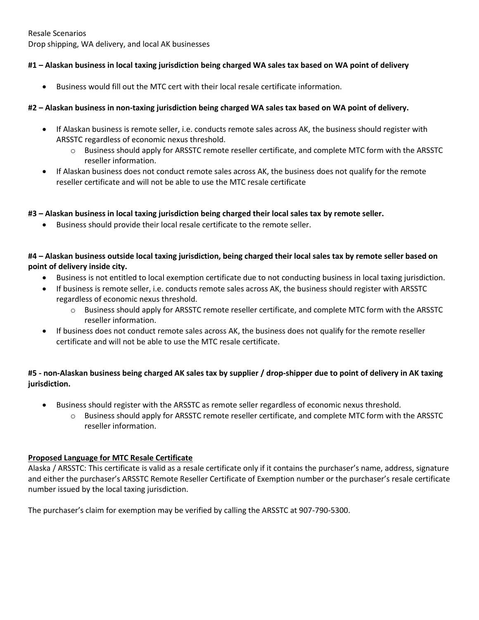Resale Scenarios Drop shipping, WA delivery, and local AK businesses

#### **#1 – Alaskan business in local taxing jurisdiction being charged WA sales tax based on WA point of delivery**

• Business would fill out the MTC cert with their local resale certificate information.

#### **#2 – Alaskan business in non-taxing jurisdiction being charged WA sales tax based on WA point of delivery.**

- If Alaskan business is remote seller, i.e. conducts remote sales across AK, the business should register with ARSSTC regardless of economic nexus threshold.
	- o Business should apply for ARSSTC remote reseller certificate, and complete MTC form with the ARSSTC reseller information.
- If Alaskan business does not conduct remote sales across AK, the business does not qualify for the remote reseller certificate and will not be able to use the MTC resale certificate

#### **#3 – Alaskan business in local taxing jurisdiction being charged their local sales tax by remote seller.**

• Business should provide their local resale certificate to the remote seller.

**#4 – Alaskan business outside local taxing jurisdiction, being charged their local sales tax by remote seller based on point of delivery inside city.**

- Business is not entitled to local exemption certificate due to not conducting business in local taxing jurisdiction.
- If business is remote seller, i.e. conducts remote sales across AK, the business should register with ARSSTC regardless of economic nexus threshold.
	- o Business should apply for ARSSTC remote reseller certificate, and complete MTC form with the ARSSTC reseller information.
- If business does not conduct remote sales across AK, the business does not qualify for the remote reseller certificate and will not be able to use the MTC resale certificate.

#### **#5 - non-Alaskan business being charged AK sales tax by supplier / drop-shipper due to point of delivery in AK taxing jurisdiction.**

- Business should register with the ARSSTC as remote seller regardless of economic nexus threshold.
	- o Business should apply for ARSSTC remote reseller certificate, and complete MTC form with the ARSSTC reseller information.

#### **Proposed Language for MTC Resale Certificate**

Alaska / ARSSTC: This certificate is valid as a resale certificate only if it contains the purchaser's name, address, signature and either the purchaser's ARSSTC Remote Reseller Certificate of Exemption number or the purchaser's resale certificate number issued by the local taxing jurisdiction.

The purchaser's claim for exemption may be verified by calling the ARSSTC at 907-790-5300.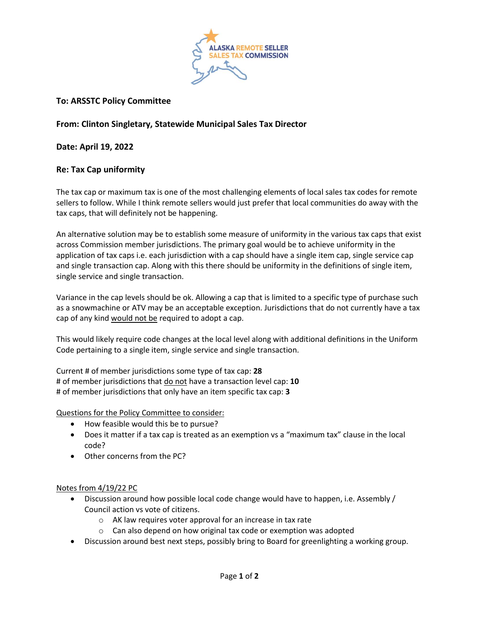

### **To: ARSSTC Policy Committee**

### **From: Clinton Singletary, Statewide Municipal Sales Tax Director**

**Date: April 19, 2022**

#### **Re: Tax Cap uniformity**

The tax cap or maximum tax is one of the most challenging elements of local sales tax codes for remote sellers to follow. While I think remote sellers would just prefer that local communities do away with the tax caps, that will definitely not be happening.

An alternative solution may be to establish some measure of uniformity in the various tax caps that exist across Commission member jurisdictions. The primary goal would be to achieve uniformity in the application of tax caps i.e. each jurisdiction with a cap should have a single item cap, single service cap and single transaction cap. Along with this there should be uniformity in the definitions of single item, single service and single transaction.

Variance in the cap levels should be ok. Allowing a cap that is limited to a specific type of purchase such as a snowmachine or ATV may be an acceptable exception. Jurisdictions that do not currently have a tax cap of any kind would not be required to adopt a cap.

This would likely require code changes at the local level along with additional definitions in the Uniform Code pertaining to a single item, single service and single transaction.

Current # of member jurisdictions some type of tax cap: **28** # of member jurisdictions that do not have a transaction level cap: **10** # of member jurisdictions that only have an item specific tax cap: **3**

Questions for the Policy Committee to consider:

- How feasible would this be to pursue?
- Does it matter if a tax cap is treated as an exemption vs a "maximum tax" clause in the local code?
- Other concerns from the PC?

#### Notes from 4/19/22 PC

- Discussion around how possible local code change would have to happen, i.e. Assembly / Council action vs vote of citizens.
	- o AK law requires voter approval for an increase in tax rate
	- $\circ$  Can also depend on how original tax code or exemption was adopted
- Discussion around best next steps, possibly bring to Board for greenlighting a working group.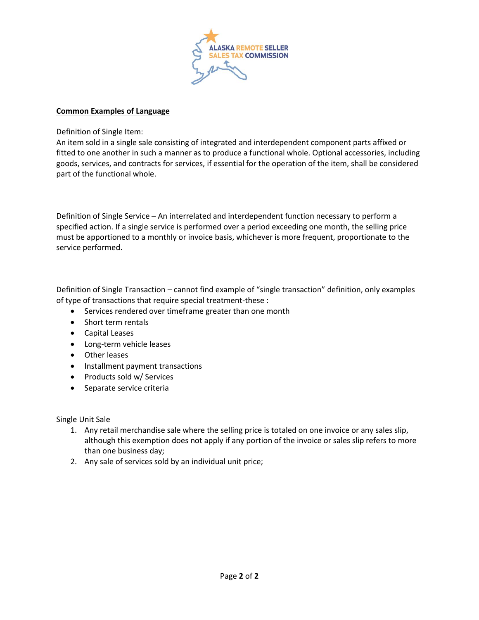

#### **Common Examples of Language**

Definition of Single Item:

An item sold in a single sale consisting of integrated and interdependent component parts affixed or fitted to one another in such a manner as to produce a functional whole. Optional accessories, including goods, services, and contracts for services, if essential for the operation of the item, shall be considered part of the functional whole.

Definition of Single Service – An interrelated and interdependent function necessary to perform a specified action. If a single service is performed over a period exceeding one month, the selling price must be apportioned to a monthly or invoice basis, whichever is more frequent, proportionate to the service performed.

Definition of Single Transaction – cannot find example of "single transaction" definition, only examples of type of transactions that require special treatment-these :

- Services rendered over timeframe greater than one month
- Short term rentals
- Capital Leases
- Long-term vehicle leases
- Other leases
- Installment payment transactions
- Products sold w/ Services
- Separate service criteria

Single Unit Sale

- 1. Any retail merchandise sale where the selling price is totaled on one invoice or any sales slip, although this exemption does not apply if any portion of the invoice or sales slip refers to more than one business day;
- 2. Any sale of services sold by an individual unit price;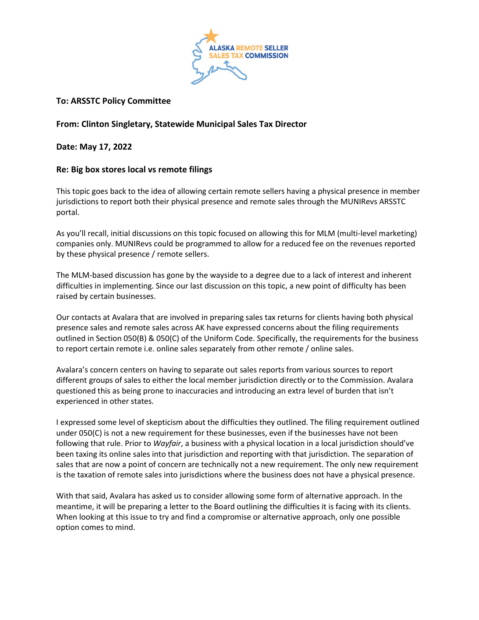

### **To: ARSSTC Policy Committee**

### **From: Clinton Singletary, Statewide Municipal Sales Tax Director**

**Date: May 17, 2022**

#### **Re: Big box stores local vs remote filings**

This topic goes back to the idea of allowing certain remote sellers having a physical presence in member jurisdictions to report both their physical presence and remote sales through the MUNIRevs ARSSTC portal.

As you'll recall, initial discussions on this topic focused on allowing this for MLM (multi-level marketing) companies only. MUNIRevs could be programmed to allow for a reduced fee on the revenues reported by these physical presence / remote sellers.

The MLM-based discussion has gone by the wayside to a degree due to a lack of interest and inherent difficulties in implementing. Since our last discussion on this topic, a new point of difficulty has been raised by certain businesses.

Our contacts at Avalara that are involved in preparing sales tax returns for clients having both physical presence sales and remote sales across AK have expressed concerns about the filing requirements outlined in Section 050(B) & 050(C) of the Uniform Code. Specifically, the requirements for the business to report certain remote i.e. online sales separately from other remote / online sales.

Avalara's concern centers on having to separate out sales reports from various sources to report different groups of sales to either the local member jurisdiction directly or to the Commission. Avalara questioned this as being prone to inaccuracies and introducing an extra level of burden that isn't experienced in other states.

I expressed some level of skepticism about the difficulties they outlined. The filing requirement outlined under 050(C) is not a new requirement for these businesses, even if the businesses have not been following that rule. Prior to *Wayfair*, a business with a physical location in a local jurisdiction should've been taxing its online sales into that jurisdiction and reporting with that jurisdiction. The separation of sales that are now a point of concern are technically not a new requirement. The only new requirement is the taxation of remote sales into jurisdictions where the business does not have a physical presence.

With that said, Avalara has asked us to consider allowing some form of alternative approach. In the meantime, it will be preparing a letter to the Board outlining the difficulties it is facing with its clients. When looking at this issue to try and find a compromise or alternative approach, only one possible option comes to mind.